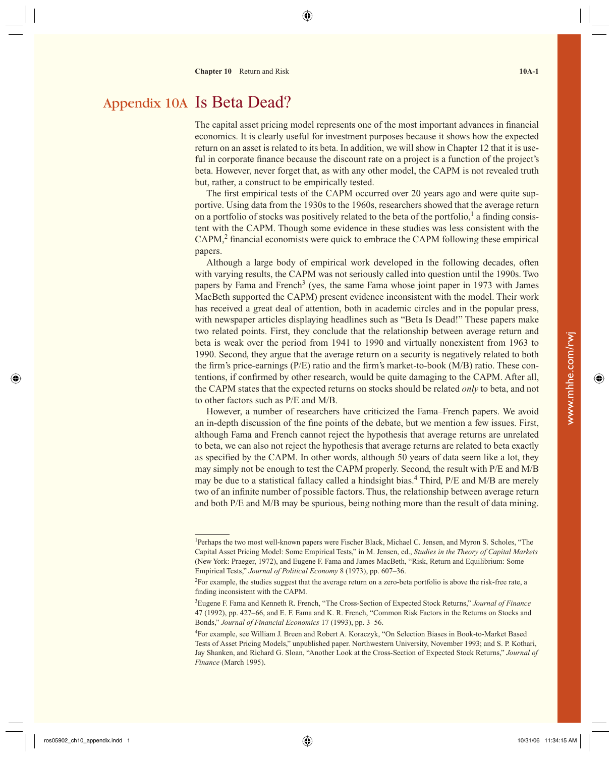## Appendix 10A Is Beta Dead?

The capital asset pricing model represents one of the most important advances in financial economics. It is clearly useful for investment purposes because it shows how the expected return on an asset is related to its beta. In addition, we will show in Chapter 12 that it is useful in corporate finance because the discount rate on a project is a function of the project's beta. However, never forget that, as with any other model, the CAPM is not revealed truth but, rather, a construct to be empirically tested.

The first empirical tests of the CAPM occurred over 20 years ago and were quite supportive. Using data from the 1930s to the 1960s, researchers showed that the average return on a portfolio of stocks was positively related to the beta of the portfolio,<sup>1</sup> a finding consistent with the CAPM. Though some evidence in these studies was less consistent with the CAPM,<sup>2</sup> financial economists were quick to embrace the CAPM following these empirical papers.

 Although a large body of empirical work developed in the following decades, often with varying results, the CAPM was not seriously called into question until the 1990s. Two papers by Fama and French<sup>3</sup> (yes, the same Fama whose joint paper in 1973 with James MacBeth supported the CAPM) present evidence inconsistent with the model. Their work has received a great deal of attention, both in academic circles and in the popular press, with newspaper articles displaying headlines such as "Beta Is Dead!" These papers make two related points. First, they conclude that the relationship between average return and beta is weak over the period from 1941 to 1990 and virtually nonexistent from 1963 to 1990. Second, they argue that the average return on a security is negatively related to both the firm's price-earnings ( $P/E$ ) ratio and the firm's market-to-book ( $M/B$ ) ratio. These contentions, if confirmed by other research, would be quite damaging to the CAPM. After all, the CAPM states that the expected returns on stocks should be related *only* to beta, and not to other factors such as P/E and M/B.

 However, a number of researchers have criticized the Fama–French papers. We avoid an in-depth discussion of the fine points of the debate, but we mention a few issues. First, although Fama and French cannot reject the hypothesis that average returns are unrelated to beta, we can also not reject the hypothesis that average returns are related to beta exactly as specified by the CAPM. In other words, although 50 years of data seem like a lot, they may simply not be enough to test the CAPM properly. Second, the result with P/E and M/B may be due to a statistical fallacy called a hindsight bias.<sup>4</sup> Third, P/E and M/B are merely two of an infinite number of possible factors. Thus, the relationship between average return and both P/E and M/B may be spurious, being nothing more than the result of data mining.

<sup>&</sup>lt;sup>1</sup>Perhaps the two most well-known papers were Fischer Black, Michael C. Jensen, and Myron S. Scholes, "The Capital Asset Pricing Model: Some Empirical Tests," in M. Jensen, ed., *Studies in the Theory of Capital Markets* (New York: Praeger, 1972), and Eugene F. Fama and James MacBeth, "Risk, Return and Equilibrium: Some Empirical Tests," *Journal of Political Economy* 8 (1973), pp. 607–36.

<sup>&</sup>lt;sup>2</sup>For example, the studies suggest that the average return on a zero-beta portfolio is above the risk-free rate, a finding inconsistent with the CAPM.

<sup>3</sup> Eugene F. Fama and Kenneth R. French, "The Cross-Section of Expected Stock Returns," *Journal of Finance* 47 (1992), pp. 427–66, and E. F. Fama and K. R. French, "Common Risk Factors in the Returns on Stocks and Bonds," *Journal of Financial Economics* 17 (1993), pp. 3–56.

<sup>4</sup> For example, see William J. Breen and Robert A. Koraczyk, "On Selection Biases in Book-to-Market Based Tests of Asset Pricing Models," unpublished paper. Northwestern University, November 1993; and S. P. Kothari, Jay Shanken, and Richard G. Sloan, "Another Look at the Cross-Section of Expected Stock Returns," *Journal of Finance* (March 1995).